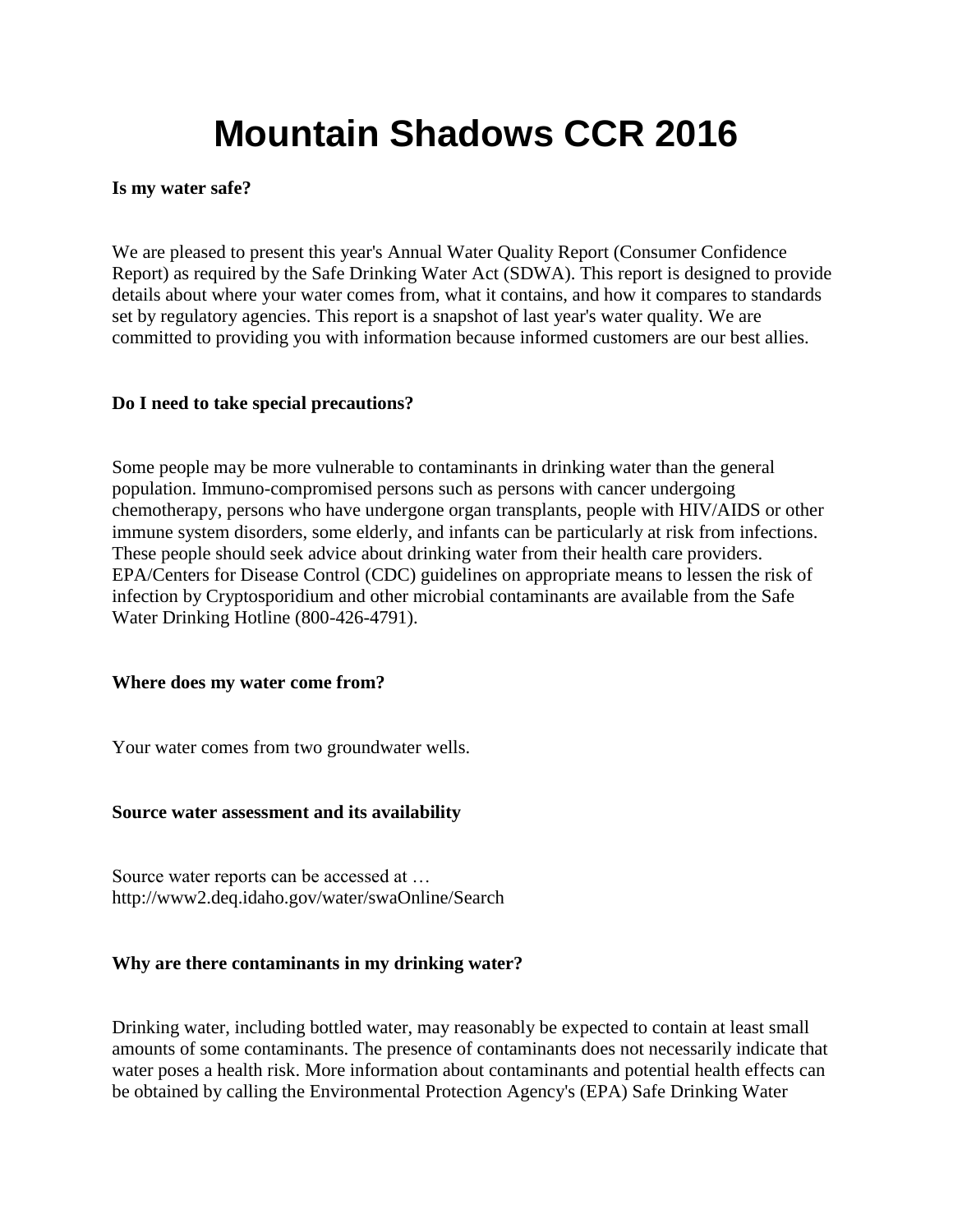# **Mountain Shadows CCR 2016**

#### **Is my water safe?**

We are pleased to present this year's Annual Water Quality Report (Consumer Confidence Report) as required by the Safe Drinking Water Act (SDWA). This report is designed to provide details about where your water comes from, what it contains, and how it compares to standards set by regulatory agencies. This report is a snapshot of last year's water quality. We are committed to providing you with information because informed customers are our best allies.

#### **Do I need to take special precautions?**

Some people may be more vulnerable to contaminants in drinking water than the general population. Immuno-compromised persons such as persons with cancer undergoing chemotherapy, persons who have undergone organ transplants, people with HIV/AIDS or other immune system disorders, some elderly, and infants can be particularly at risk from infections. These people should seek advice about drinking water from their health care providers. EPA/Centers for Disease Control (CDC) guidelines on appropriate means to lessen the risk of infection by Cryptosporidium and other microbial contaminants are available from the Safe Water Drinking Hotline (800-426-4791).

#### **Where does my water come from?**

Your water comes from two groundwater wells.

#### **Source water assessment and its availability**

Source water reports can be accessed at … http://www2.deq.idaho.gov/water/swaOnline/Search

#### **Why are there contaminants in my drinking water?**

Drinking water, including bottled water, may reasonably be expected to contain at least small amounts of some contaminants. The presence of contaminants does not necessarily indicate that water poses a health risk. More information about contaminants and potential health effects can be obtained by calling the Environmental Protection Agency's (EPA) Safe Drinking Water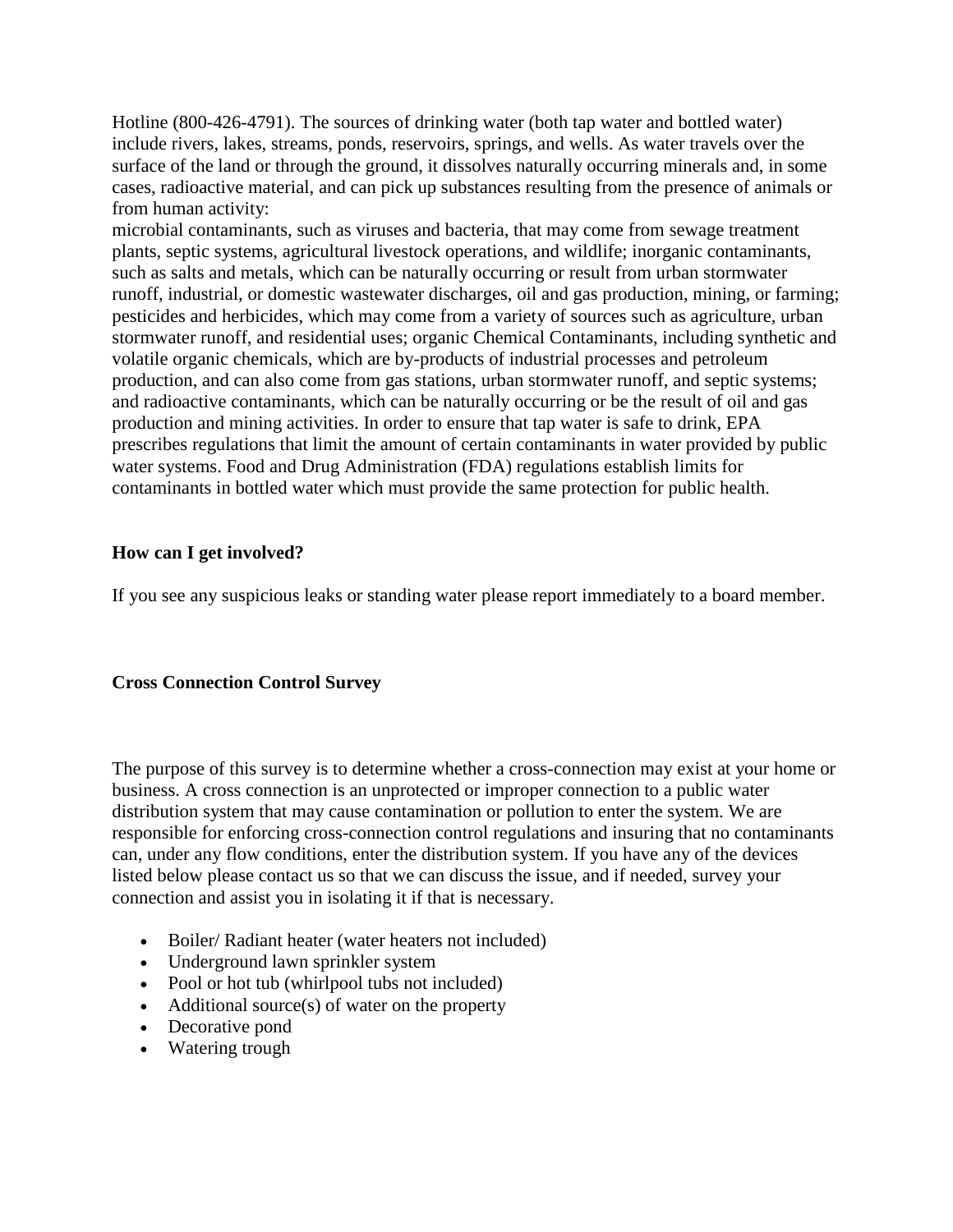Hotline (800-426-4791). The sources of drinking water (both tap water and bottled water) include rivers, lakes, streams, ponds, reservoirs, springs, and wells. As water travels over the surface of the land or through the ground, it dissolves naturally occurring minerals and, in some cases, radioactive material, and can pick up substances resulting from the presence of animals or from human activity:

microbial contaminants, such as viruses and bacteria, that may come from sewage treatment plants, septic systems, agricultural livestock operations, and wildlife; inorganic contaminants, such as salts and metals, which can be naturally occurring or result from urban stormwater runoff, industrial, or domestic wastewater discharges, oil and gas production, mining, or farming; pesticides and herbicides, which may come from a variety of sources such as agriculture, urban stormwater runoff, and residential uses; organic Chemical Contaminants, including synthetic and volatile organic chemicals, which are by-products of industrial processes and petroleum production, and can also come from gas stations, urban stormwater runoff, and septic systems; and radioactive contaminants, which can be naturally occurring or be the result of oil and gas production and mining activities. In order to ensure that tap water is safe to drink, EPA prescribes regulations that limit the amount of certain contaminants in water provided by public water systems. Food and Drug Administration (FDA) regulations establish limits for contaminants in bottled water which must provide the same protection for public health.

#### **How can I get involved?**

If you see any suspicious leaks or standing water please report immediately to a board member.

#### **Cross Connection Control Survey**

The purpose of this survey is to determine whether a cross-connection may exist at your home or business. A cross connection is an unprotected or improper connection to a public water distribution system that may cause contamination or pollution to enter the system. We are responsible for enforcing cross-connection control regulations and insuring that no contaminants can, under any flow conditions, enter the distribution system. If you have any of the devices listed below please contact us so that we can discuss the issue, and if needed, survey your connection and assist you in isolating it if that is necessary.

- Boiler/ Radiant heater (water heaters not included)
- Underground lawn sprinkler system
- Pool or hot tub (whirlpool tubs not included)
- $\bullet$  Additional source(s) of water on the property
- Decorative pond
- Watering trough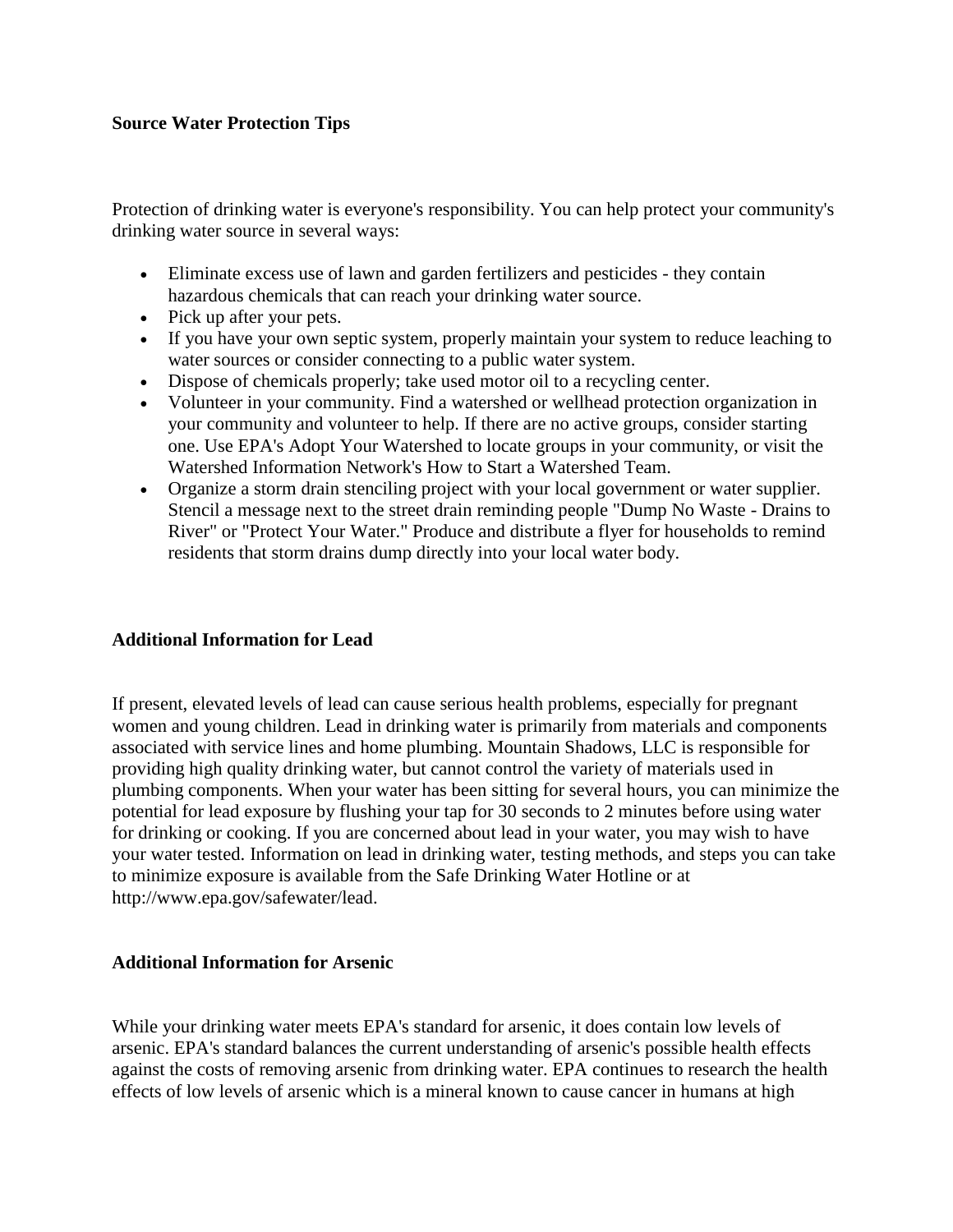#### **Source Water Protection Tips**

Protection of drinking water is everyone's responsibility. You can help protect your community's drinking water source in several ways:

- Eliminate excess use of lawn and garden fertilizers and pesticides they contain hazardous chemicals that can reach your drinking water source.
- Pick up after your pets.
- If you have your own septic system, properly maintain your system to reduce leaching to water sources or consider connecting to a public water system.
- Dispose of chemicals properly; take used motor oil to a recycling center.
- Volunteer in your community. Find a watershed or wellhead protection organization in your community and volunteer to help. If there are no active groups, consider starting one. Use EPA's Adopt Your Watershed to locate groups in your community, or visit the Watershed Information Network's How to Start a Watershed Team.
- Organize a storm drain stenciling project with your local government or water supplier. Stencil a message next to the street drain reminding people "Dump No Waste - Drains to River" or "Protect Your Water." Produce and distribute a flyer for households to remind residents that storm drains dump directly into your local water body.

#### **Additional Information for Lead**

If present, elevated levels of lead can cause serious health problems, especially for pregnant women and young children. Lead in drinking water is primarily from materials and components associated with service lines and home plumbing. Mountain Shadows, LLC is responsible for providing high quality drinking water, but cannot control the variety of materials used in plumbing components. When your water has been sitting for several hours, you can minimize the potential for lead exposure by flushing your tap for 30 seconds to 2 minutes before using water for drinking or cooking. If you are concerned about lead in your water, you may wish to have your water tested. Information on lead in drinking water, testing methods, and steps you can take to minimize exposure is available from the Safe Drinking Water Hotline or at http://www.epa.gov/safewater/lead.

#### **Additional Information for Arsenic**

While your drinking water meets EPA's standard for arsenic, it does contain low levels of arsenic. EPA's standard balances the current understanding of arsenic's possible health effects against the costs of removing arsenic from drinking water. EPA continues to research the health effects of low levels of arsenic which is a mineral known to cause cancer in humans at high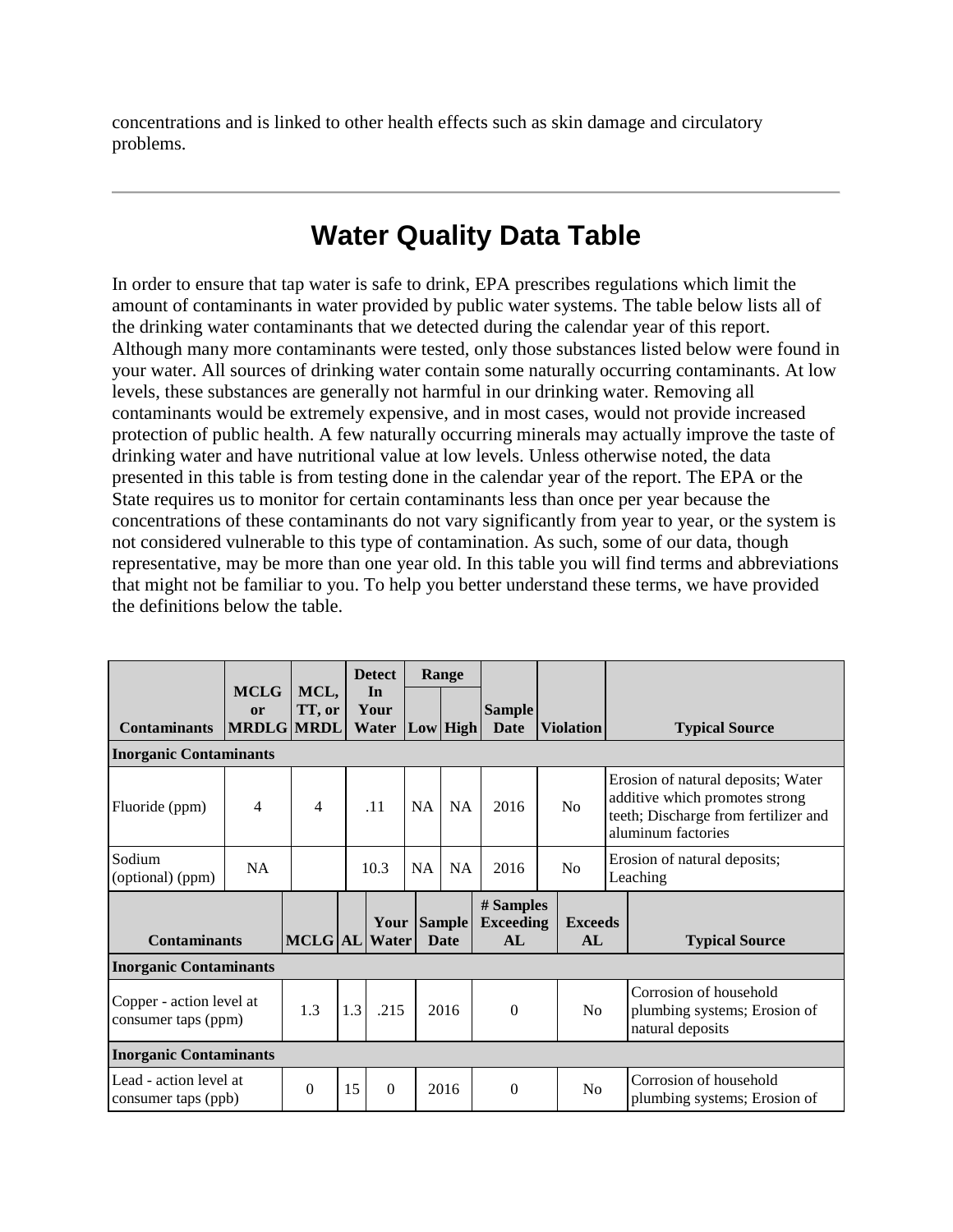concentrations and is linked to other health effects such as skin damage and circulatory problems.

### **Water Quality Data Table**

In order to ensure that tap water is safe to drink, EPA prescribes regulations which limit the amount of contaminants in water provided by public water systems. The table below lists all of the drinking water contaminants that we detected during the calendar year of this report. Although many more contaminants were tested, only those substances listed below were found in your water. All sources of drinking water contain some naturally occurring contaminants. At low levels, these substances are generally not harmful in our drinking water. Removing all contaminants would be extremely expensive, and in most cases, would not provide increased protection of public health. A few naturally occurring minerals may actually improve the taste of drinking water and have nutritional value at low levels. Unless otherwise noted, the data presented in this table is from testing done in the calendar year of the report. The EPA or the State requires us to monitor for certain contaminants less than once per year because the concentrations of these contaminants do not vary significantly from year to year, or the system is not considered vulnerable to this type of contamination. As such, some of our data, though representative, may be more than one year old. In this table you will find terms and abbreviations that might not be familiar to you. To help you better understand these terms, we have provided the definitions below the table.

|                                                 |                                               |                |     | <b>Detect</b>                            |                    | Range       |                                     |  |                      |  |                                                                                                                                    |
|-------------------------------------------------|-----------------------------------------------|----------------|-----|------------------------------------------|--------------------|-------------|-------------------------------------|--|----------------------|--|------------------------------------------------------------------------------------------------------------------------------------|
| <b>Contaminants</b>                             | <b>MCLG</b><br><b>or</b><br><b>MRDLG MRDL</b> | MCL,<br>TT, or |     | In<br>Your<br><b>Water  Low   High  </b> |                    |             | <b>Sample</b><br>Date               |  | <b>Violation</b>     |  | <b>Typical Source</b>                                                                                                              |
| <b>Inorganic Contaminants</b>                   |                                               |                |     |                                          |                    |             |                                     |  |                      |  |                                                                                                                                    |
| Fluoride (ppm)                                  | 4                                             | 4              |     | .11                                      | <b>NA</b>          | <b>NA</b>   | 2016                                |  | N <sub>o</sub>       |  | Erosion of natural deposits; Water<br>additive which promotes strong<br>teeth; Discharge from fertilizer and<br>aluminum factories |
| Sodium<br>(optional) (ppm)                      | <b>NA</b>                                     |                |     | 10.3                                     | <b>NA</b>          | <b>NA</b>   | 2016                                |  | No                   |  | Erosion of natural deposits;<br>Leaching                                                                                           |
| <b>Contaminants</b>                             |                                               | MCLG AL Water  |     |                                          | <b>Your Sample</b> | <b>Date</b> | # Samples<br><b>Exceeding</b><br>AL |  | <b>Exceeds</b><br>AL |  | <b>Typical Source</b>                                                                                                              |
| <b>Inorganic Contaminants</b>                   |                                               |                |     |                                          |                    |             |                                     |  |                      |  |                                                                                                                                    |
| Copper - action level at<br>consumer taps (ppm) |                                               | 1.3            | 1.3 | .215                                     | 2016               |             | $\Omega$                            |  | N <sub>0</sub>       |  | Corrosion of household<br>plumbing systems; Erosion of<br>natural deposits                                                         |
| <b>Inorganic Contaminants</b>                   |                                               |                |     |                                          |                    |             |                                     |  |                      |  |                                                                                                                                    |
| Lead - action level at<br>consumer taps (ppb)   |                                               | $\theta$       | 15  | $\Omega$                                 |                    | 2016        | $\theta$                            |  | No                   |  | Corrosion of household<br>plumbing systems; Erosion of                                                                             |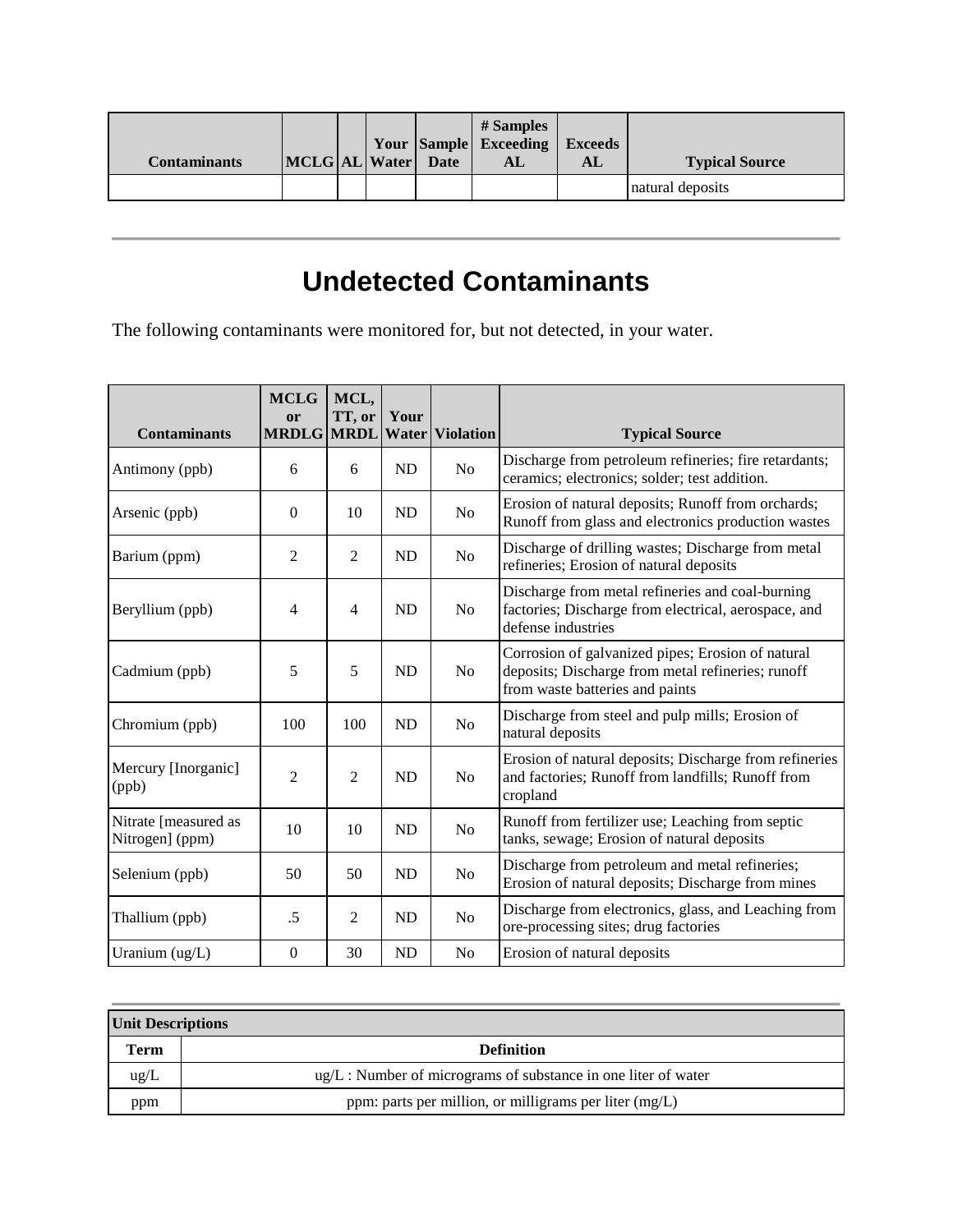| Contaminants | MCLG AL Water Date |  | # Samples<br>Your Sample Exceeding Exceeds<br>AL | AL | <b>Typical Source</b> |
|--------------|--------------------|--|--------------------------------------------------|----|-----------------------|
|              |                    |  |                                                  |    | natural deposits      |

## **Undetected Contaminants**

The following contaminants were monitored for, but not detected, in your water.

| <b>Contaminants</b>                     | <b>MCLG</b><br>or | MCL,<br>TT, or | Your      | MRDLG MRDL Water Violation | <b>Typical Source</b>                                                                                                                     |
|-----------------------------------------|-------------------|----------------|-----------|----------------------------|-------------------------------------------------------------------------------------------------------------------------------------------|
| Antimony (ppb)                          | 6                 | 6              | ND        | N <sub>0</sub>             | Discharge from petroleum refineries; fire retardants;<br>ceramics; electronics; solder; test addition.                                    |
| Arsenic (ppb)                           | $\Omega$          | 10             | ND        | N <sub>0</sub>             | Erosion of natural deposits; Runoff from orchards;<br>Runoff from glass and electronics production wastes                                 |
| Barium (ppm)                            | 2                 | $\overline{2}$ | ND        | N <sub>0</sub>             | Discharge of drilling wastes; Discharge from metal<br>refineries; Erosion of natural deposits                                             |
| Beryllium (ppb)                         | 4                 | $\overline{4}$ | ND        | N <sub>0</sub>             | Discharge from metal refineries and coal-burning<br>factories; Discharge from electrical, aerospace, and<br>defense industries            |
| Cadmium (ppb)                           | 5                 | 5              | ND        | N <sub>0</sub>             | Corrosion of galvanized pipes; Erosion of natural<br>deposits; Discharge from metal refineries; runoff<br>from waste batteries and paints |
| Chromium (ppb)                          | 100               | 100            | ND        | N <sub>0</sub>             | Discharge from steel and pulp mills; Erosion of<br>natural deposits                                                                       |
| Mercury [Inorganic]<br>(ppb)            | $\overline{c}$    | $\overline{c}$ | <b>ND</b> | N <sub>o</sub>             | Erosion of natural deposits; Discharge from refineries<br>and factories; Runoff from landfills; Runoff from<br>cropland                   |
| Nitrate [measured as<br>Nitrogen] (ppm) | 10                | 10             | <b>ND</b> | N <sub>0</sub>             | Runoff from fertilizer use; Leaching from septic<br>tanks, sewage; Erosion of natural deposits                                            |
| Selenium (ppb)                          | 50                | 50             | <b>ND</b> | No                         | Discharge from petroleum and metal refineries;<br>Erosion of natural deposits; Discharge from mines                                       |
| Thallium (ppb)                          | .5                | $\overline{2}$ | <b>ND</b> | N <sub>0</sub>             | Discharge from electronics, glass, and Leaching from<br>ore-processing sites; drug factories                                              |
| Uranium (ug/L)                          | $\theta$          | 30             | ND        | N <sub>o</sub>             | Erosion of natural deposits                                                                                                               |

| Unit Descriptions |                                                                     |  |  |  |  |  |
|-------------------|---------------------------------------------------------------------|--|--|--|--|--|
| Term              | <b>Definition</b>                                                   |  |  |  |  |  |
| $\text{ug/L}$     | $\mu$ g/L : Number of micrograms of substance in one liter of water |  |  |  |  |  |
| ppm               | ppm: parts per million, or milligrams per liter (mg/L)              |  |  |  |  |  |